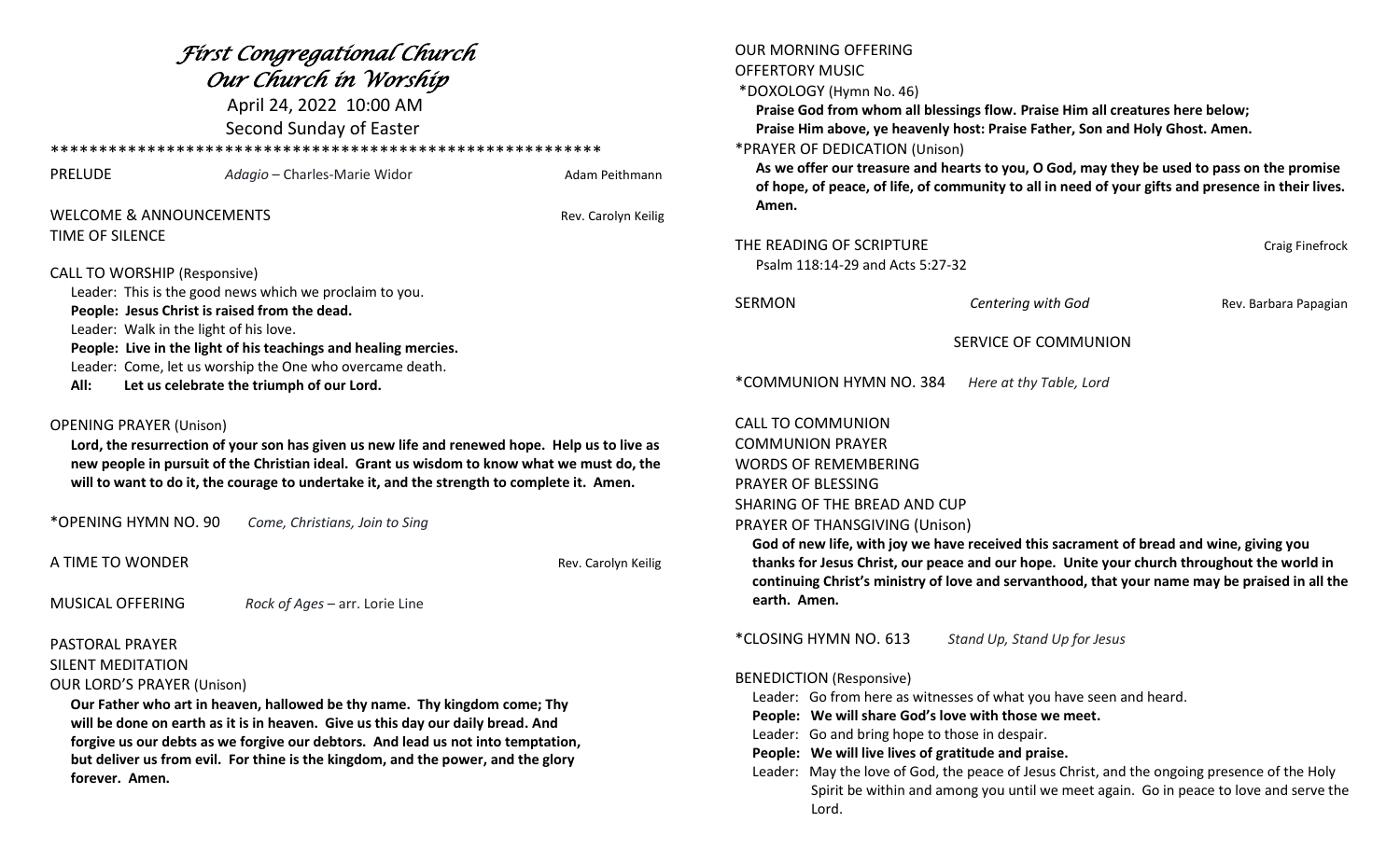| Fírst Congregatíonal Church<br>Our Church in Worship<br>April 24, 2022 10:00 AM<br>Second Sunday of Easter                                                                                                                                                                                                                                             |                                                          |                                                                                                                                                                                              | <b>OUR MORNING OFFERING</b><br><b>OFFERTORY MUSIC</b><br>*DOXOLOGY (Hymn No. 46)<br>Praise God from whom all blessings flow. Praise Him all creatures here below;<br>Praise Him above, ye heavenly host: Praise Father, Son and Holy Ghost. Amen.<br>*PRAYER OF DEDICATION (Unison)<br>As we offer our treasure and hearts to you, O God, may they be used to pass on the promise |                              |                       |                                                                                                       |                              |                |                                                                                                    |  |  |
|--------------------------------------------------------------------------------------------------------------------------------------------------------------------------------------------------------------------------------------------------------------------------------------------------------------------------------------------------------|----------------------------------------------------------|----------------------------------------------------------------------------------------------------------------------------------------------------------------------------------------------|-----------------------------------------------------------------------------------------------------------------------------------------------------------------------------------------------------------------------------------------------------------------------------------------------------------------------------------------------------------------------------------|------------------------------|-----------------------|-------------------------------------------------------------------------------------------------------|------------------------------|----------------|----------------------------------------------------------------------------------------------------|--|--|
|                                                                                                                                                                                                                                                                                                                                                        |                                                          |                                                                                                                                                                                              |                                                                                                                                                                                                                                                                                                                                                                                   |                              |                       | <b>PRELUDE</b>                                                                                        | Adagio – Charles-Marie Widor | Adam Peithmann | of hope, of peace, of life, of community to all in need of your gifts and presence in their lives. |  |  |
|                                                                                                                                                                                                                                                                                                                                                        |                                                          |                                                                                                                                                                                              |                                                                                                                                                                                                                                                                                                                                                                                   |                              |                       | <b>WELCOME &amp; ANNOUNCEMENTS</b><br>Rev. Carolyn Keilig                                             |                              |                | Amen.                                                                                              |  |  |
|                                                                                                                                                                                                                                                                                                                                                        |                                                          |                                                                                                                                                                                              |                                                                                                                                                                                                                                                                                                                                                                                   |                              |                       | TIME OF SILENCE                                                                                       |                              |                |                                                                                                    |  |  |
|                                                                                                                                                                                                                                                                                                                                                        |                                                          |                                                                                                                                                                                              |                                                                                                                                                                                                                                                                                                                                                                                   |                              |                       |                                                                                                       |                              |                | THE READING OF SCRIPTURE<br>Craig Finefrock<br>Psalm 118:14-29 and Acts 5:27-32                    |  |  |
|                                                                                                                                                                                                                                                                                                                                                        |                                                          |                                                                                                                                                                                              |                                                                                                                                                                                                                                                                                                                                                                                   |                              |                       | <b>CALL TO WORSHIP (Responsive)</b>                                                                   |                              |                |                                                                                                    |  |  |
| Leader: This is the good news which we proclaim to you.<br>People: Jesus Christ is raised from the dead.                                                                                                                                                                                                                                               |                                                          |                                                                                                                                                                                              | <b>SERMON</b>                                                                                                                                                                                                                                                                                                                                                                     | Centering with God           | Rev. Barbara Papagian |                                                                                                       |                              |                |                                                                                                    |  |  |
| Leader: Walk in the light of his love.<br>People: Live in the light of his teachings and healing mercies.                                                                                                                                                                                                                                              |                                                          |                                                                                                                                                                                              | SERVICE OF COMMUNION                                                                                                                                                                                                                                                                                                                                                              |                              |                       |                                                                                                       |                              |                |                                                                                                    |  |  |
|                                                                                                                                                                                                                                                                                                                                                        | Leader: Come, let us worship the One who overcame death. |                                                                                                                                                                                              |                                                                                                                                                                                                                                                                                                                                                                                   |                              |                       |                                                                                                       |                              |                |                                                                                                    |  |  |
| All:                                                                                                                                                                                                                                                                                                                                                   | Let us celebrate the triumph of our Lord.                |                                                                                                                                                                                              | *COMMUNION HYMN NO. 384                                                                                                                                                                                                                                                                                                                                                           | Here at thy Table, Lord      |                       |                                                                                                       |                              |                |                                                                                                    |  |  |
| <b>OPENING PRAYER (Unison)</b><br>Lord, the resurrection of your son has given us new life and renewed hope. Help us to live as<br>new people in pursuit of the Christian ideal. Grant us wisdom to know what we must do, the<br>will to want to do it, the courage to undertake it, and the strength to complete it. Amen.                            |                                                          |                                                                                                                                                                                              | <b>CALL TO COMMUNION</b>                                                                                                                                                                                                                                                                                                                                                          |                              |                       |                                                                                                       |                              |                |                                                                                                    |  |  |
|                                                                                                                                                                                                                                                                                                                                                        |                                                          |                                                                                                                                                                                              | <b>COMMUNION PRAYER</b><br><b>WORDS OF REMEMBERING</b>                                                                                                                                                                                                                                                                                                                            |                              |                       |                                                                                                       |                              |                |                                                                                                    |  |  |
|                                                                                                                                                                                                                                                                                                                                                        |                                                          |                                                                                                                                                                                              |                                                                                                                                                                                                                                                                                                                                                                                   |                              |                       | PRAYER OF BLESSING                                                                                    |                              |                |                                                                                                    |  |  |
|                                                                                                                                                                                                                                                                                                                                                        |                                                          |                                                                                                                                                                                              |                                                                                                                                                                                                                                                                                                                                                                                   |                              |                       | SHARING OF THE BREAD AND CUP                                                                          |                              |                |                                                                                                    |  |  |
| *OPENING HYMN NO. 90<br>Come, Christians, Join to Sing                                                                                                                                                                                                                                                                                                 |                                                          |                                                                                                                                                                                              | PRAYER OF THANSGIVING (Unison)                                                                                                                                                                                                                                                                                                                                                    |                              |                       |                                                                                                       |                              |                |                                                                                                    |  |  |
|                                                                                                                                                                                                                                                                                                                                                        |                                                          |                                                                                                                                                                                              | God of new life, with joy we have received this sacrament of bread and wine, giving you                                                                                                                                                                                                                                                                                           |                              |                       |                                                                                                       |                              |                |                                                                                                    |  |  |
| A TIME TO WONDER<br>Rev. Carolyn Keilig                                                                                                                                                                                                                                                                                                                |                                                          | thanks for Jesus Christ, our peace and our hope. Unite your church throughout the world in<br>continuing Christ's ministry of love and servanthood, that your name may be praised in all the |                                                                                                                                                                                                                                                                                                                                                                                   |                              |                       |                                                                                                       |                              |                |                                                                                                    |  |  |
| <b>MUSICAL OFFERING</b>                                                                                                                                                                                                                                                                                                                                | Rock of Ages - arr. Lorie Line                           |                                                                                                                                                                                              | earth. Amen.                                                                                                                                                                                                                                                                                                                                                                      |                              |                       |                                                                                                       |                              |                |                                                                                                    |  |  |
| <b>PASTORAL PRAYER</b>                                                                                                                                                                                                                                                                                                                                 |                                                          |                                                                                                                                                                                              | *CLOSING HYMN NO. 613                                                                                                                                                                                                                                                                                                                                                             | Stand Up, Stand Up for Jesus |                       |                                                                                                       |                              |                |                                                                                                    |  |  |
| <b>SILENT MEDITATION</b>                                                                                                                                                                                                                                                                                                                               |                                                          |                                                                                                                                                                                              |                                                                                                                                                                                                                                                                                                                                                                                   |                              |                       |                                                                                                       |                              |                |                                                                                                    |  |  |
| <b>OUR LORD'S PRAYER (Unison)</b>                                                                                                                                                                                                                                                                                                                      |                                                          |                                                                                                                                                                                              | <b>BENEDICTION (Responsive)</b>                                                                                                                                                                                                                                                                                                                                                   |                              |                       |                                                                                                       |                              |                |                                                                                                    |  |  |
| Our Father who art in heaven, hallowed be thy name. Thy kingdom come; Thy<br>will be done on earth as it is in heaven. Give us this day our daily bread. And<br>forgive us our debts as we forgive our debtors. And lead us not into temptation,<br>but deliver us from evil. For thine is the kingdom, and the power, and the glory<br>forever. Amen. |                                                          |                                                                                                                                                                                              | Leader: Go from here as witnesses of what you have seen and heard.<br>People: We will share God's love with those we meet.                                                                                                                                                                                                                                                        |                              |                       |                                                                                                       |                              |                |                                                                                                    |  |  |
|                                                                                                                                                                                                                                                                                                                                                        |                                                          |                                                                                                                                                                                              |                                                                                                                                                                                                                                                                                                                                                                                   |                              |                       | Leader: Go and bring hope to those in despair.<br>People: We will live lives of gratitude and praise. |                              |                |                                                                                                    |  |  |
|                                                                                                                                                                                                                                                                                                                                                        |                                                          |                                                                                                                                                                                              | Leader: May the love of God, the peace of Jesus Christ, and the ongoing presence of the Holy<br>Spirit be within and among you until we meet again. Go in peace to love and serve the<br>Lord.                                                                                                                                                                                    |                              |                       |                                                                                                       |                              |                |                                                                                                    |  |  |